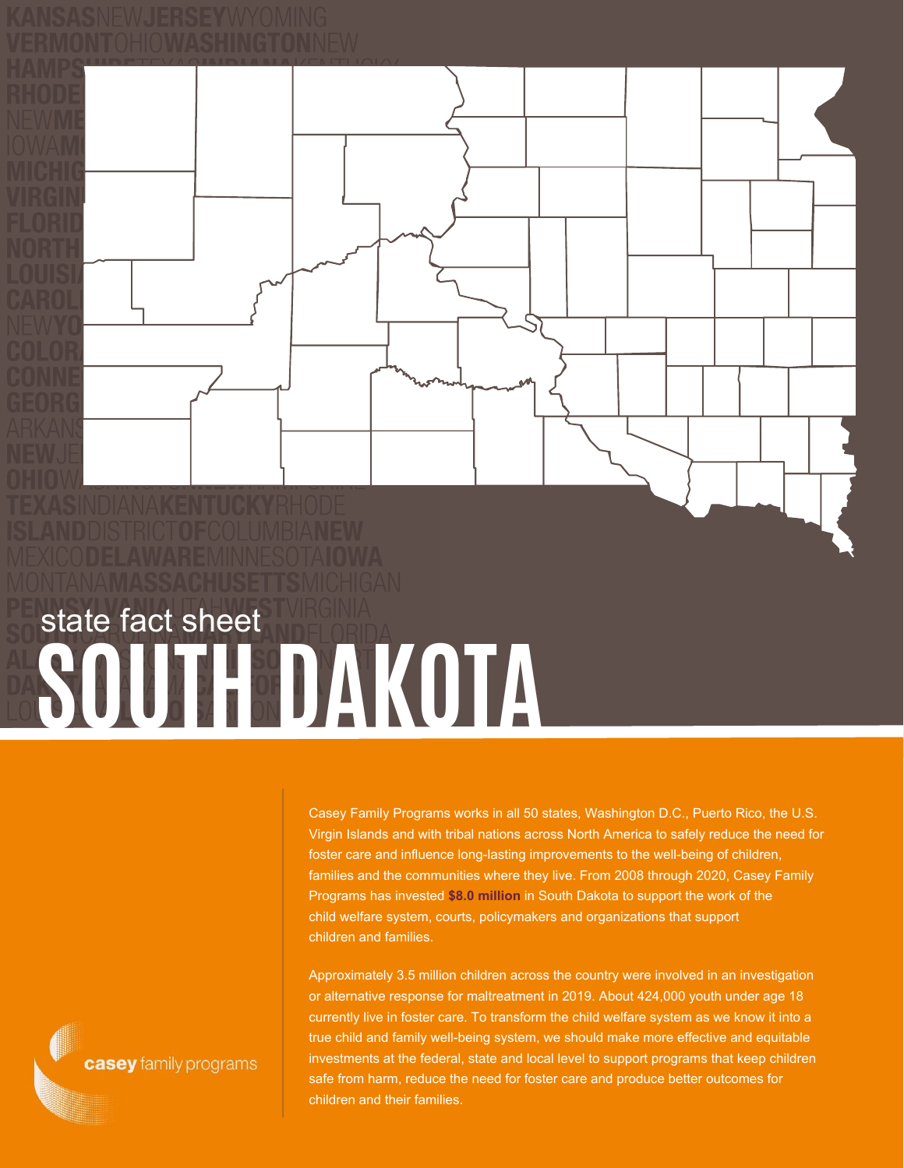



Casey Family Programs works in all 50 states, Washington D.C., Puerto Rico, the U.S. Virgin Islands and with tribal nations across North America to safely reduce the need for foster care and influence long-lasting improvements to the well-being of children, families and the communities where they live. From 2008 through 2020, Casey Family Programs has invested **\$8.0 million** in South Dakota to support the work of the child welfare system, courts, policymakers and organizations that support children and families.

Approximately 3.5 million children across the country were involved in an investigation or alternative response for maltreatment in 2019. About 424,000 youth under age 18 currently live in foster care. To transform the child welfare system as we know it into a true child and family well-being system, we should make more effective and equitable investments at the federal, state and local level to support programs that keep children safe from harm, reduce the need for foster care and produce better outcomes for children and their families.

casey family programs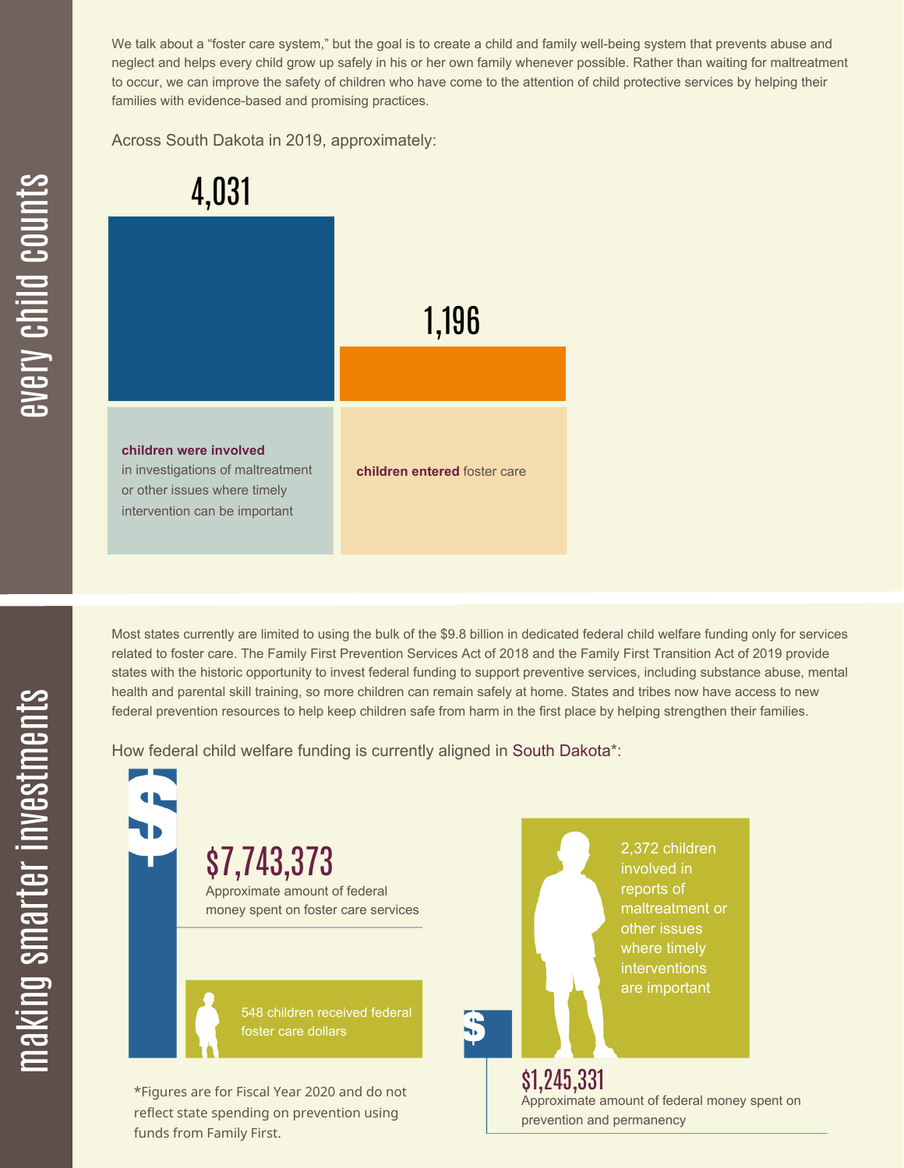We talk about a "foster care system," but the goal is to create a child and family well-being system that prevents abuse and neglect and helps every child grow up safely in his or her own family whenever possible. Rather than waiting for maltreatment to occur, we can improve the safety of children who have come to the attention of child protective services by helping their families with evidence-based and promising practices.

Across South Dakota in 2019, approximately:



Most states currently are limited to using the bulk of the \$9.8 billion in dedicated federal child welfare funding only for services related to foster care. The Family First Prevention Services Act of 2018 and the Family First Transition Act of 2019 provide states with the historic opportunity to invest federal funding to support preventive services, including substance abuse, mental health and parental skill training, so more children can remain safely at home. States and tribes now have access to new federal prevention resources to help keep children safe from harm in the first place by helping strengthen their families.

How federal child welfare funding is currently aligned in South Dakota\*:

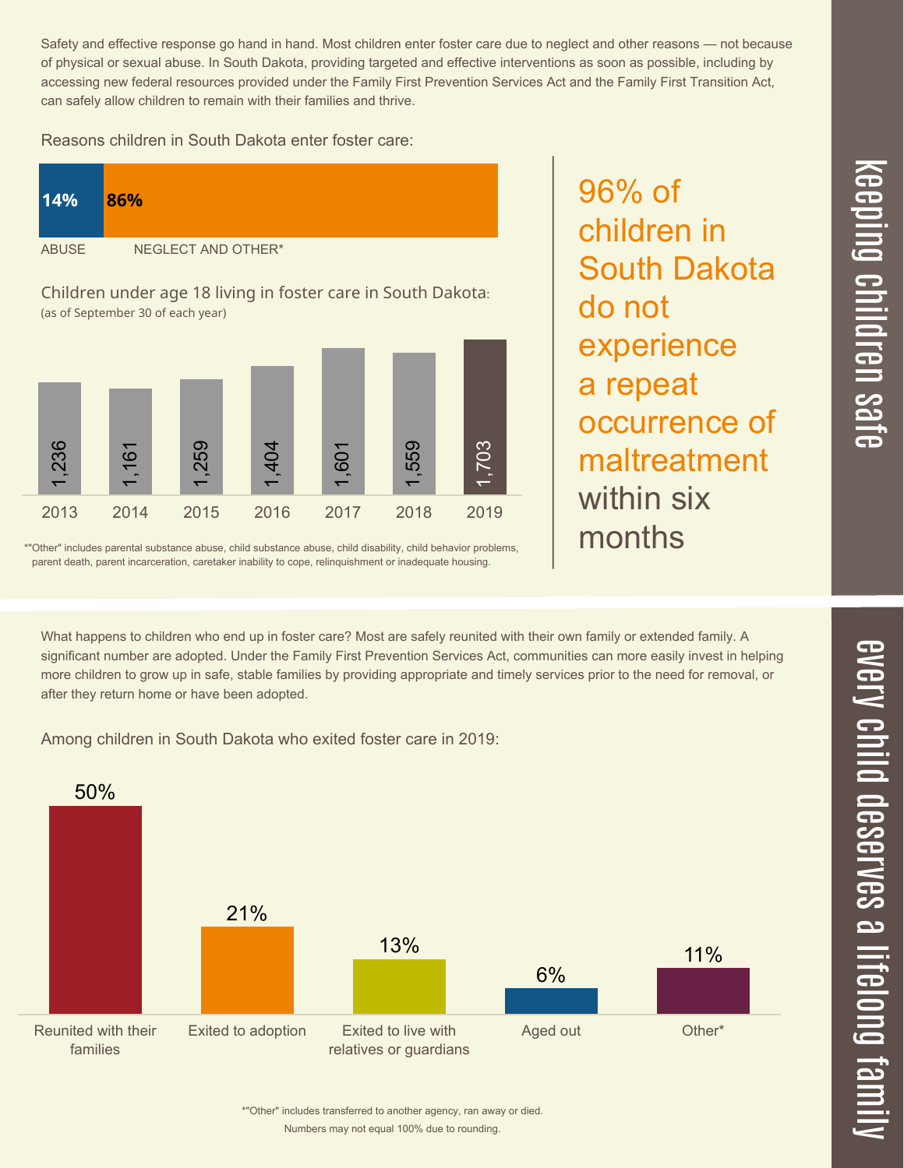Reasons children in South Dakota enter foster care:

| 14%          | 86%                |
|--------------|--------------------|
| <b>ABUSE</b> | NEGLECT AND OTHER* |

Children under age 18 living in foster care in South Dakota: (as of September 30 of each year)



\*"Other" includes parental substance abuse, child substance abuse, child disability, child behavior problems, parent death, parent incarceration, caretaker inability to cope, relinquishment or inadequate housing.

What happens to children who end up in foster care? Most are safely reunited with their own family or extended family. A significant number are adopted. Under the Family First Prevention Services Act, communities can more easily invest in helping more children to grow up in safe, stable families by providing appropriate and timely services prior to the need for removal, or after they return home or have been adopted.

Among children in South Dakota who exited foster care in 2019:



96% of children in South Dakota do not experience a repeat occurrence of maltreatment within six months

 $\overline{\mathbf{C}}$  $\leq$  $\overline{\mathbf{C}}$  $\overline{\mathsf{Z}}$  $\overline{\mathbf{C}}$ 

 $\equiv$ 

 $\blacksquare$ e  $\boldsymbol{\mathcal{C}}$  $\overline{\mathbf{C}}$  $\overline{\phantom{a}}$  $\overline{\mathbf{C}}$  $\mathcal{C}$ <u>م</u>

 $\equiv$ 

el<br>O  $\overline{\phantom{0}}$  $\blacksquare$ 

t<br>B

mily